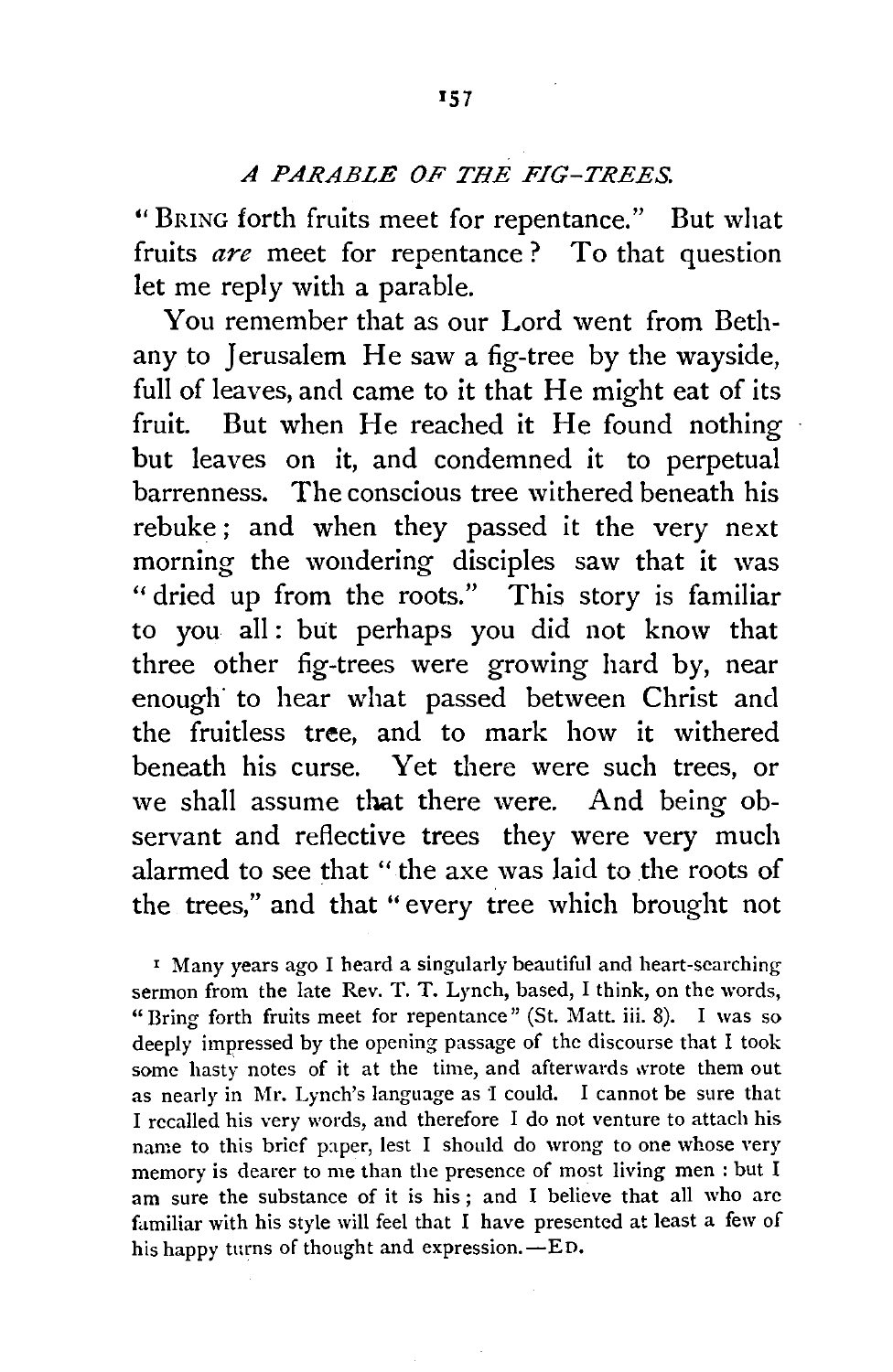## *A PARABLE OF THE FIG-TREES.*

"BRING forth fruits meet for repentance." But what fruits *are* meet for repentance? To that question let me reply with a parable.

You remember that as our Lord went from Bethany to Jerusalem He saw a fig-tree by the wayside, full of leaves, and came to it that He might eat of its fruit. But when He reached it He found nothing but leaves on it, and condemned it to perpetual barrenness. The conscious tree withered beneath his rebuke ; and when they passed it the very next morning the wondering disciples saw that it was " dried up from the roots." This story is familiar to you all: but perhaps you did not know that three other fig-trees were growing hard by, near enough to hear what passed between Christ and the fruitless tree, and to mark how it withered beneath his curse. Yet there were such trees, or we shall assume that there were. And being observant and reflective trees they were very much alarmed to see that " the axe was laid to the roots of the trees," and that "every tree which brought not

I Many years ago I heard a singularly beautiful and heart-searching sermon from the late Rev. T. T. Lynch, based, I think, on the words, "Bring forth fruits meet for repentance" (St. Matt. iii. 8). I was so deeply impressed by the opening passage of the discourse that I took some hasty notes of it at the time, and afterwards wrote them out as nearly in Mr. Lynch's language as I could. I cannot be sure that I recalled his very words, and therefore I do not venture to attach his name to this brief paper, lest I should do wrong to one whose very memory is dearer to me than the presence of most living men : but I am sure the substance of it is his ; and I believe that all who arc familiar with his style will feel that I have presented at least a few of his happy turns of thought and expression. $-ED$ .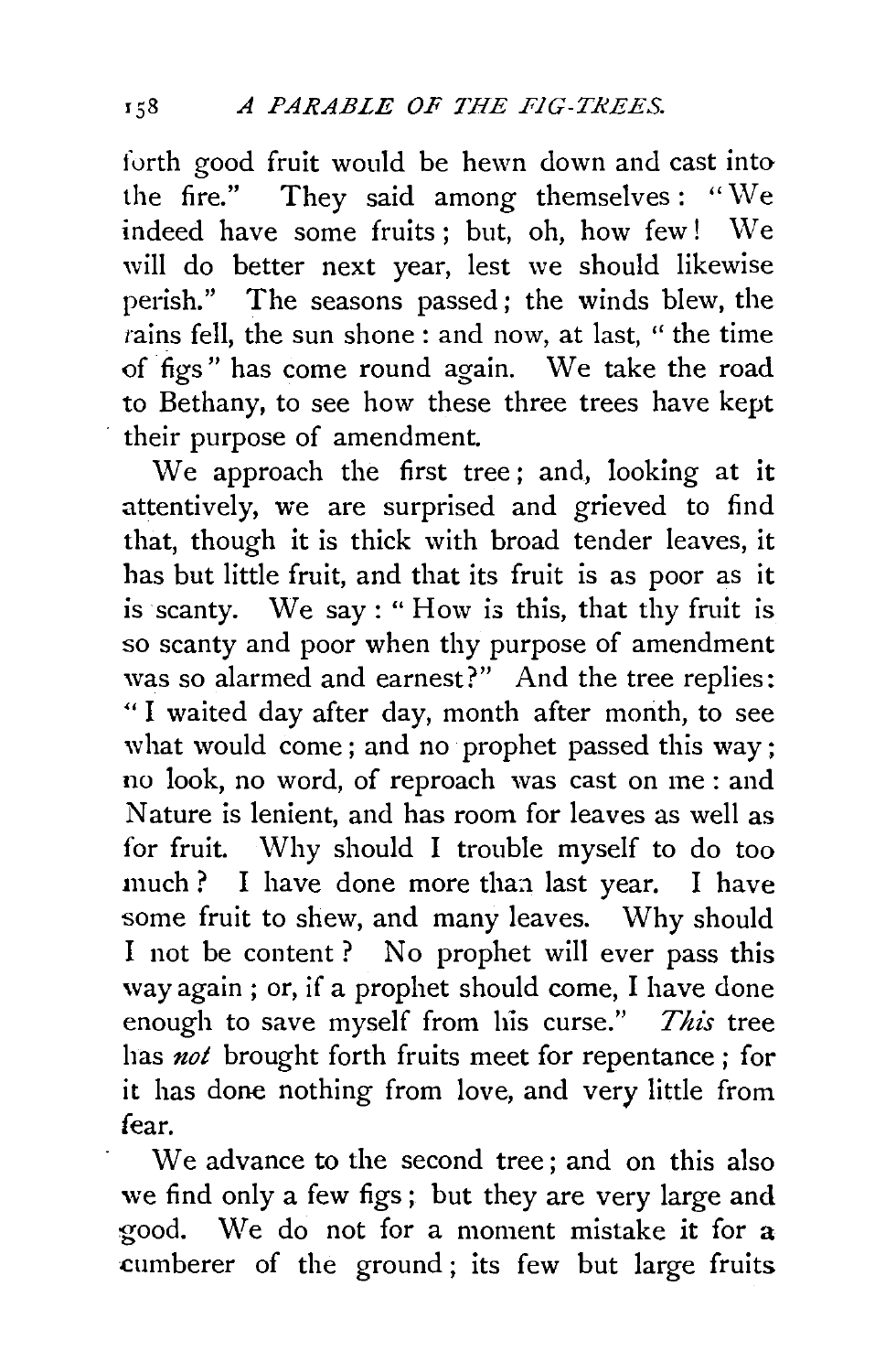forth good fruit would be hewn down and cast into the fire." They said among themselves: " $We$ indeed have some fruits: but, oh, how few! We will do better next year, lest we should likewise perish." The seasons passed; the winds blew, the rains fell, the sun shone : and now, at last, " the time of figs " has come round again. We take the road to Bethany, to see how these three trees have kept their purpose of amendment.

We approach the first tree; and, looking at it attentively, we are surprised and grieved to find that, though it is thick with broad tender leaves, it has but little fruit, and that its fruit is as poor as it is scanty. We say : " How is this, that thy fruit is so scanty and poor when thy purpose of amendment was so alarmed and earnest?" And the tree replies: " I waited day after day, month after month, to see what would come; and no prophet passed this way; no look, no word, of reproach was cast on me : and Nature is lenient, and has room for leaves as well as for fruit. \Vhy should I trouble myself to do too much ? I have done more than last year. I have some fruit to shew, and many leaves. Why should I not be content ? No prophet will ever pass this way again; or, if a prophet should come, I have done enough to save myself from his curse." *This* tree has *not* brought forth fruits meet for repentance ; for it has done nothing from love, and very little from fear.

We advance to the second tree ; and on this also we find only a few figs ; but they are very large and good. We do not for a moment mistake it for a cumberer of the ground; its few but large fruits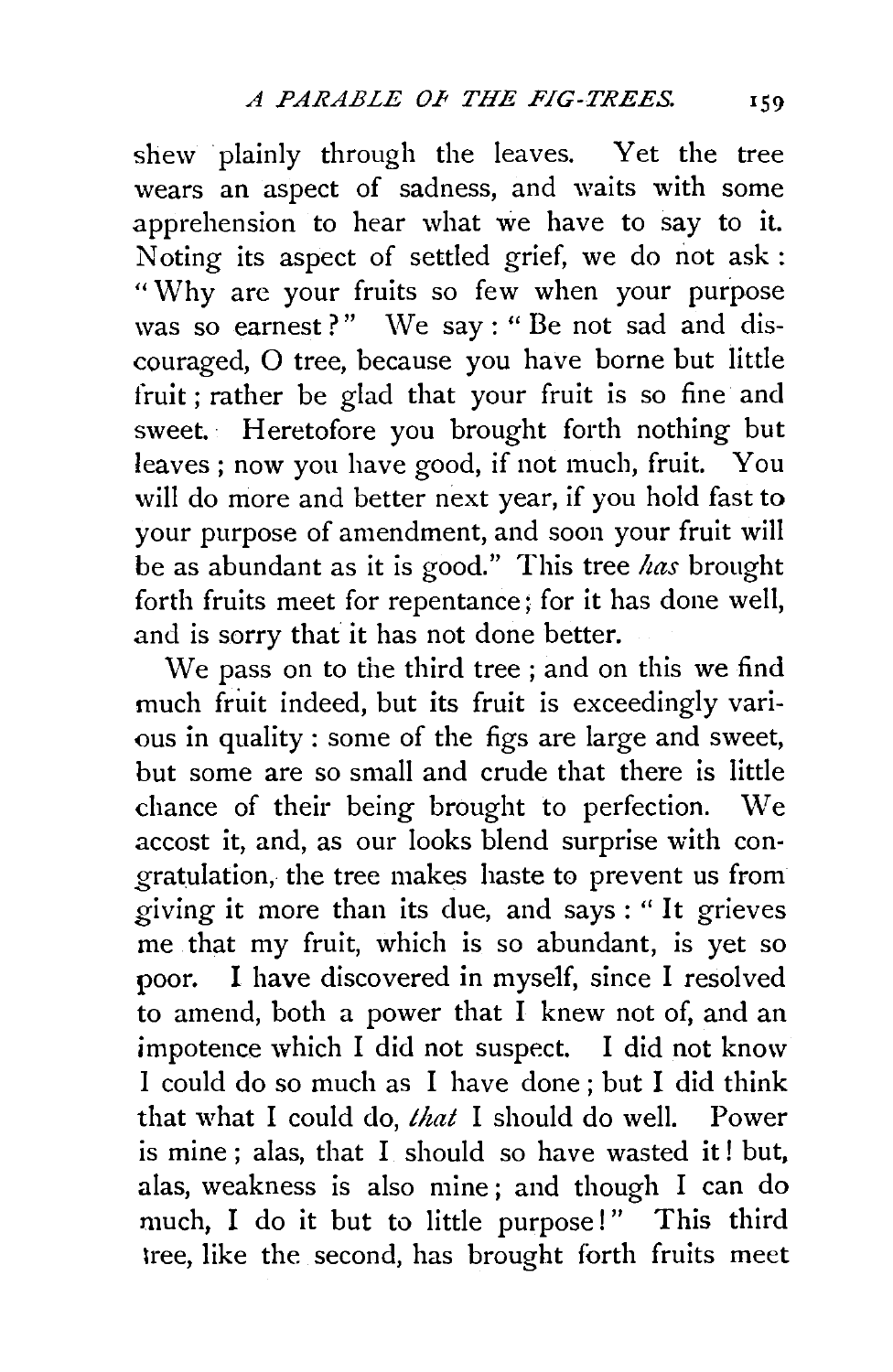shew plainly through the leaves. Yet the tree wears an aspect of sadness, and waits with some apprehension to hear what we have to say to it. Noting its aspect of settled grief, we do not ask : "Why are your fruits so few when your purpose was so earnest?" We say: "Be not sad and discouraged, 0 tree, because you have borne but little fruit ; rather be glad that your fruit is so fine and sweet.· Heretofore you brought forth nothing but leaves ; now you have good, if not much, fruit. You will do more and better next year, if you hold fast to your purpose of amendment, and soon your fruit will be as abundant as it is good." This tree *has* brought forth fruits meet for repentance; for it has done well, and is sorry that it has not done better.

We pass on to the third tree ; and on this we find much fruit indeed, but its fruit is exceedingly vari ous in quality : some of the figs are large and sweet, but some are so small and crude that there is little chance of their being brought to perfection. We accost it, and, as our looks blend surprise with congratulation, the tree makes haste to prevent us from giving it more than its due, and says : " It grieves me that my fruit, which is so abundant, is yet so poor. I have discovered in myself, since I resolved to amend, both a power that I knew not of, and an impotence which I did not suspect. I did not know I could do so much as I have done; but I did think that what I could do, *that* I should do well. Power is mine; alas, that I should so have wasted it! but, alas, weakness is also mine ; and though I can do much, I do it but to little purpose!" This third *tree,* like the second, has brought forth fruits meet